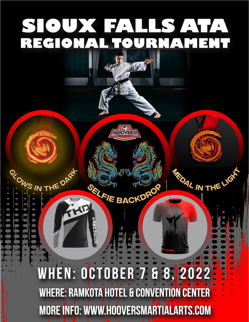### SOUXEAUSATA **AMENT REET**  $\bullet$

**HOOVER'S** 

ELFIE BACKDR

HE DARY

FHE

**ANITEDEC** 

REPAI

WHEN: OCTOBER 7 & 8, 2022 WHERE: RAMKOTA HOTEL & CONVENTION CENTER **MORE INFO: WWW.HOOVERSMARTIALARTS.COM**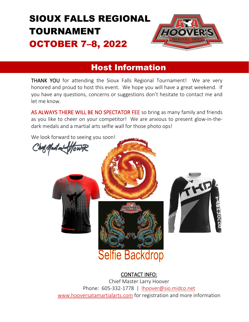

### Host Information

THANK YOU for attending the Sioux Falls Regional Tournament! We are very honored and proud to host this event. We hope you will have a great weekend. If you have any questions, concerns or suggestions don't hesitate to contact me and let me know.

AS ALWAYS THERE WILL BE NO SPECTATOR FEE so bring as many family and friends as you like to cheer on your competitor! We are anxious to present glow-in-thedark medals and a martial arts selfie wall for those photo ops!



#### CONTACT INFO:

Chief Master Larry Hoover Phone: 605-332-1778 | [lhoover@sio.midco.net](mailto:lhoover@sio.midco.net) [www.hooversatamartialarts.com](http://www.hooversatamartialarts.com/) for registration and more information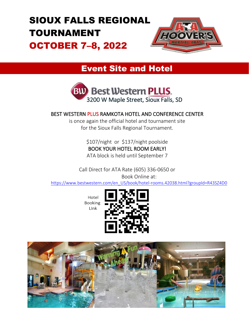

## Event Site and Hotel



#### BEST WESTERN PLUS RAMKOTA HOTEL AND CONFERENCE CENTER

is once again the official hotel and tournament site for the Sioux Falls Regional Tournament.

> \$107/night or \$137/night poolside BOOK YOUR HOTEL ROOM EARLY! ATA block is held until September 7

Call Direct for ATA Rate (605) 336-0650 or

Book Online at: [https://www.bestwestern.com/en\\_US/book/hotel-rooms.42038.html?groupId=R43SZ4D0](https://www.bestwestern.com/en_US/book/hotel-rooms.42038.html?groupId=R43SZ4D0)

> Hotel **Booking** Link



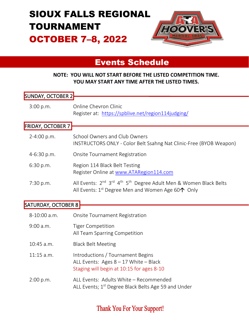

## Events Schedule

#### **NOTE: YOU WILL NOT START BEFORE THE LISTED COMPETITION TIME. YOU MAY START ANY TIME AFTER THE LISTED TIMES.**

| SUNDAY, OCTOBER 2        |                                                                                                                                                                                      |
|--------------------------|--------------------------------------------------------------------------------------------------------------------------------------------------------------------------------------|
| 3:00 p.m.                | Online Chevron Clinic<br>Register at: https://spblive.net/region114judging/                                                                                                          |
| <b>FRIDAY, OCTOBER 7</b> |                                                                                                                                                                                      |
| 2-4:00 p.m.              | School Owners and Club Owners<br><b>INSTRUCTORS ONLY - Color Belt Ssahng Nat Clinic-Free (BYOB Weapon)</b>                                                                           |
| 4-6:30 p.m.              | <b>Onsite Tournament Registration</b>                                                                                                                                                |
| 6:30 p.m.                | Region 114 Black Belt Testing<br>Register Online at www.ATARegion114.com                                                                                                             |
| 7:30 p.m.                | All Events: 2 <sup>nd</sup> 3 <sup>rd</sup> 4 <sup>th</sup> 5 <sup>th</sup> Degree Adult Men & Women Black Belts<br>All Events: $1^{st}$ Degree Men and Women Age 60 $\uparrow$ Only |
| SATURDAY, OCTOBER 8      |                                                                                                                                                                                      |

| 8-10:00 a.m. | <b>Onsite Tournament Registration</b>                                                                                     |
|--------------|---------------------------------------------------------------------------------------------------------------------------|
| 9:00 a.m.    | <b>Tiger Competition</b><br>All Team Sparring Competition                                                                 |
| $10:45$ a.m. | <b>Black Belt Meeting</b>                                                                                                 |
| $11:15$ a.m. | Introductions / Tournament Begins<br>ALL Events: Ages $8 - 17$ White - Black<br>Staging will begin at 10:15 for ages 8-10 |
| 2:00 p.m.    | ALL Events: Adults White - Recommended<br>ALL Events; 1 <sup>st</sup> Degree Black Belts Age 59 and Under                 |

### Thank You For Your Support!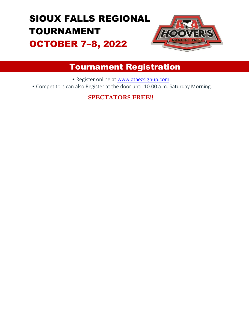

## Tournament Registration

- Register online at [www.ataezsignup.com](http://www.ataezsignup.com/)
- Competitors can also Register at the door until 10:00 a.m. Saturday Morning.

### **SPECTATORS FREE!!**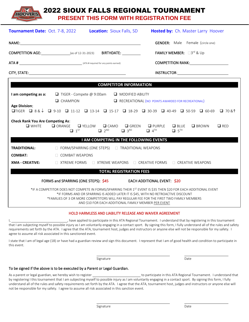#### 2022 SIOUX FALLS REGIONAL TOURNAMENT **PRESENT THIS FORM WITH REGISTRATION FEE**

|                                                                                                                                                                                                       | <b>Tournament Date:</b> Oct. 7-8, 2022 <b>Location:</b> Sioux Falls, SD                                                                                                                                                        |                                                                                             |  | Hosted by: Ch. Master Larry Hoover                                                                                                                                                                                                                                                               |  |  |
|-------------------------------------------------------------------------------------------------------------------------------------------------------------------------------------------------------|--------------------------------------------------------------------------------------------------------------------------------------------------------------------------------------------------------------------------------|---------------------------------------------------------------------------------------------|--|--------------------------------------------------------------------------------------------------------------------------------------------------------------------------------------------------------------------------------------------------------------------------------------------------|--|--|
|                                                                                                                                                                                                       | NAME: NAME:                                                                                                                                                                                                                    |                                                                                             |  | <b>GENDER:</b> Male Female (circle one)                                                                                                                                                                                                                                                          |  |  |
|                                                                                                                                                                                                       | <b>COMPETITION AGE:</b> (as of 12-31-2023) BIRTHDATE: ____________                                                                                                                                                             |                                                                                             |  | <b>FAMILY MEMBER:</b> □3rd & Up                                                                                                                                                                                                                                                                  |  |  |
|                                                                                                                                                                                                       |                                                                                                                                                                                                                                |                                                                                             |  | COMPETITION RANK: COMPETITION RANK:                                                                                                                                                                                                                                                              |  |  |
|                                                                                                                                                                                                       | CITY, STATE: THE STATE OF THE STATE OF THE STATE OF THE STATE OF THE STATE OF THE STATE OF THE STATE OF THE STATE OF THE STATE OF THE STATE OF THE STATE OF THE STATE OF THE STATE OF THE STATE OF THE STATE OF THE STATE OF T |                                                                                             |  | <b>INSTRUCTOR: Example 2020</b>                                                                                                                                                                                                                                                                  |  |  |
|                                                                                                                                                                                                       |                                                                                                                                                                                                                                | <b>COMPETITOR INFORMATION</b>                                                               |  |                                                                                                                                                                                                                                                                                                  |  |  |
| I am competing as a:                                                                                                                                                                                  | $\Box$ TIGER - Compete @ 9:00am                                                                                                                                                                                                | $\Box$ MODIFIED ABILITY                                                                     |  |                                                                                                                                                                                                                                                                                                  |  |  |
| $\Box$ CHAMPION<br>RECREATIONAL (NO POINTS AWARDED FOR RECREATIONAL)<br><b>Age Division:</b><br><b>□TIGER</b> □ 8 & ↓ □ 9-10 □ 11-12 □ 13-14 □ 15-17 □ 18-29 □ 30-39 □ 40-49 □ 50-59 □ 60-69 □ 70 & ↑ |                                                                                                                                                                                                                                |                                                                                             |  |                                                                                                                                                                                                                                                                                                  |  |  |
| <b>Check Rank You Are Competing As:</b><br>$\Box$ WHITE                                                                                                                                               |                                                                                                                                                                                                                                | $\Box$ 1 <sup>ST</sup> $\Box$ 2 <sup>ND</sup> $\Box$ 3 <sup>RD</sup> $\Box$ 4 <sup>TH</sup> |  | $\Box$ ORANGE $\Box$ YELLOW $\Box$ CAMO $\Box$ GREEN $\Box$ PURPLE $\Box$ BLUE<br>$\Box$ BROWN<br>$\Box$ RED<br>$\Box$ 5 <sup>TH</sup>                                                                                                                                                           |  |  |
|                                                                                                                                                                                                       |                                                                                                                                                                                                                                | I AM COMPETING IN THE FOLLOWING EVENTS                                                      |  |                                                                                                                                                                                                                                                                                                  |  |  |
| <b>TRADITIONAL:</b>                                                                                                                                                                                   |                                                                                                                                                                                                                                | □ FORM/SPARRING (ONE STEPS) □ TRADITIONAL WEAPONS                                           |  |                                                                                                                                                                                                                                                                                                  |  |  |
| <b>COMBAT:</b>                                                                                                                                                                                        | $\Box$ COMBAT WEAPONS                                                                                                                                                                                                          |                                                                                             |  |                                                                                                                                                                                                                                                                                                  |  |  |
| <b>XMA - CREATIVE:</b>                                                                                                                                                                                |                                                                                                                                                                                                                                |                                                                                             |  | $\Box$ XTREME FORMS $\Box$ XTREME WEAPONS $\Box$ CREATIVE FORMS $\Box$ CREATIVE WEAPONS                                                                                                                                                                                                          |  |  |
|                                                                                                                                                                                                       |                                                                                                                                                                                                                                | <b>TOTAL REGISTRATION FEES</b>                                                              |  |                                                                                                                                                                                                                                                                                                  |  |  |
|                                                                                                                                                                                                       | FORMS and SPARRING (ONE STEPS): \$45                                                                                                                                                                                           |                                                                                             |  | EACH ADDITIONAL EVENT: \$20                                                                                                                                                                                                                                                                      |  |  |
|                                                                                                                                                                                                       |                                                                                                                                                                                                                                | AND \$10 FOR EACH ADDITIONAL FAMILY MEMBER PER EVENT                                        |  | *IF A COMPETITOR DOES NOT COMPETE IN FORMS/SPARRING THEIR 1ST EVENT IS \$35 THEN \$20 FOR EACH ADDITIONAL EVENT<br>*IF FORMS AND OR SPARRING IS ADDED LATER IT IS \$45, WITH NO RETROACTIVE DISCOUNT<br>*FAMILIES OF 3 OR MORE COMPETITORS WILL PAY REGULAR FEE FOR THE FIRST TWO FAMILY MEMBERS |  |  |

#### HOLD HARMLESS AND LIABILITY RELEASE AND WAIVER AGREEMENT

, have applied to participate in this ATA Regional Tournament. I understand that by registering in this tournament that I am subjecting myself to possible injury as I am voluntarily engaging in a contact sport. By signing this form, I fully understand all of the rules and safety requirements set forth by the ATA. I agree that the ATA, tournament host, judges and instructors or anyone else will not be responsible for my safety. I agree to assume all risk associated in this sanctioned event.

I state that I am of legal age (18) or have had a guardian review and sign this document. I represent that I am of good health and condition to participate in this event.

Signature and Date of the Superior Science of the Superior Control of the Date of the Date of the Date of the D

#### To be signed if the above is to be executed by a Parent or Legal Guardian.

As a parent or legal guardian, we hereby wish to register the register to participate in this ATA Regional Tournament. I understand that by registering I this tournament that I am subjecting myself to possible injury as I am voluntarily engaging in a contact sport. By signing this form, I fully understand all of the rules and safety requirements set forth by the ATA. I agree that the ATA, tournament host, judges and instructors or anyone else will not be responsible for my safety. I agree to assume all risk associated in this sanction event.